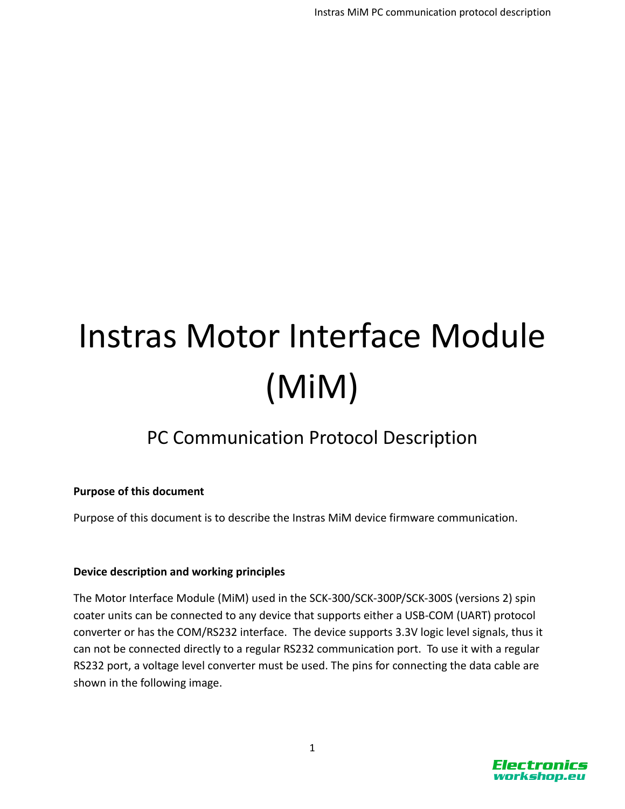# Instras Motor Interface Module (MiM)

# PC Communication Protocol Description

## **Purpose of this document**

Purpose of this document is to describe the Instras MiM device firmware communication.

## **Device description and working principles**

The Motor Interface Module (MiM) used in the SCK-300/SCK-300P/SCK-300S (versions 2) spin coater units can be connected to any device that supports either a USB-COM (UART) protocol converter or has the COM/RS232 interface. The device supports 3.3V logic level signals, thus it can not be connected directly to a regular RS232 communication port. To use it with a regular RS232 port, a voltage level converter must be used. The pins for connecting the data cable are shown in the following image.

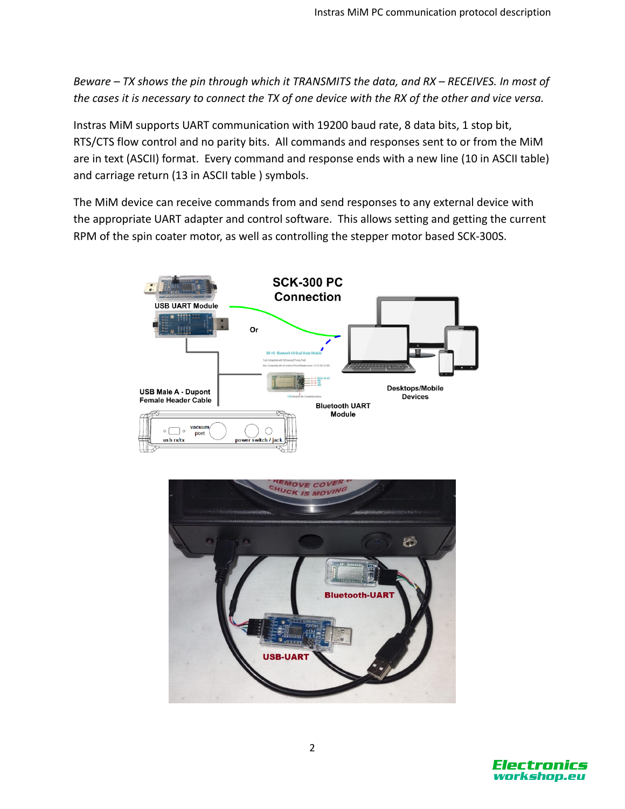*Beware – TX shows the pin through which it TRANSMITS the data, and RX – RECEIVES. In most of the cases it is necessary to connect the TX of one device with the RX of the other and vice versa.*

Instras MiM supports UART communication with 19200 baud rate, 8 data bits, 1 stop bit, RTS/CTS flow control and no parity bits. All commands and responses sent to or from the MiM are in text (ASCII) format. Every command and response ends with a new line (10 in ASCII table) and carriage return (13 in ASCII table ) symbols.

The MiM device can receive commands from and send responses to any external device with the appropriate UART adapter and control software. This allows setting and getting the current RPM of the spin coater motor, as well as controlling the stepper motor based SCK-300S.





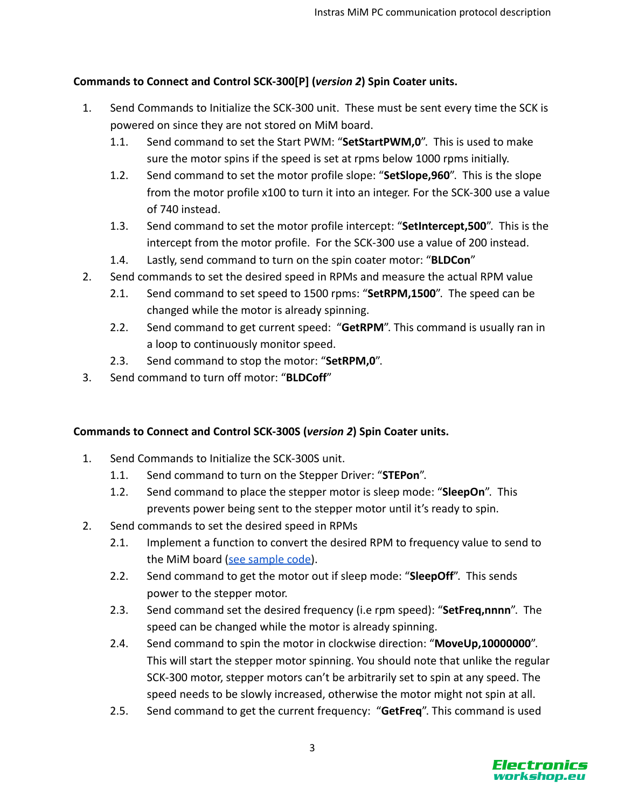# **Commands to Connect and Control SCK-300[P] (***version 2***) Spin Coater units.**

- 1. Send Commands to Initialize the SCK-300 unit. These must be sent every time the SCK is powered on since they are not stored on MiM board.
	- 1.1. Send command to set the Start PWM: "**SetStartPWM,0**". This is used to make sure the motor spins if the speed is set at rpms below 1000 rpms initially.
	- 1.2. Send command to set the motor profile slope: "**SetSlope,960**". This is the slope from the motor profile x100 to turn it into an integer. For the SCK-300 use a value of 740 instead.
	- 1.3. Send command to set the motor profile intercept: "**SetIntercept,500**". This is the intercept from the motor profile. For the SCK-300 use a value of 200 instead.
	- 1.4. Lastly, send command to turn on the spin coater motor: "**BLDCon**"
- 2. Send commands to set the desired speed in RPMs and measure the actual RPM value
	- 2.1. Send command to set speed to 1500 rpms: "**SetRPM,1500**". The speed can be changed while the motor is already spinning.
	- 2.2. Send command to get current speed: "**GetRPM**". This command is usually ran in a loop to continuously monitor speed.
	- 2.3. Send command to stop the motor: "**SetRPM,0**".
- 3. Send command to turn off motor: "**BLDCoff**"

# **Commands to Connect and Control SCK-300S (***version 2***) Spin Coater units.**

- 1. Send Commands to Initialize the SCK-300S unit.
	- 1.1. Send command to turn on the Stepper Driver: "**STEPon**".
	- 1.2. Send command to place the stepper motor is sleep mode: "**SleepOn**". This prevents power being sent to the stepper motor until it's ready to spin.
- 2. Send commands to set the desired speed in RPMs
	- 2.1. Implement a function to convert the desired RPM to frequency value to send to the MiM board [\(see sample code\)](https://github.com/ns96/SCKTalk/blob/master/src/org/instras/sck/MiMTalk.java#L345).
	- 2.2. Send command to get the motor out if sleep mode: "**SleepOff**". This sends power to the stepper motor.
	- 2.3. Send command set the desired frequency (i.e rpm speed): "**SetFreq,nnnn**". The speed can be changed while the motor is already spinning.
	- 2.4. Send command to spin the motor in clockwise direction: "**MoveUp,10000000**". This will start the stepper motor spinning. You should note that unlike the regular SCK-300 motor, stepper motors can't be arbitrarily set to spin at any speed. The speed needs to be slowly increased, otherwise the motor might not spin at all.
	- 2.5. Send command to get the current frequency: "**GetFreq**". This command is used